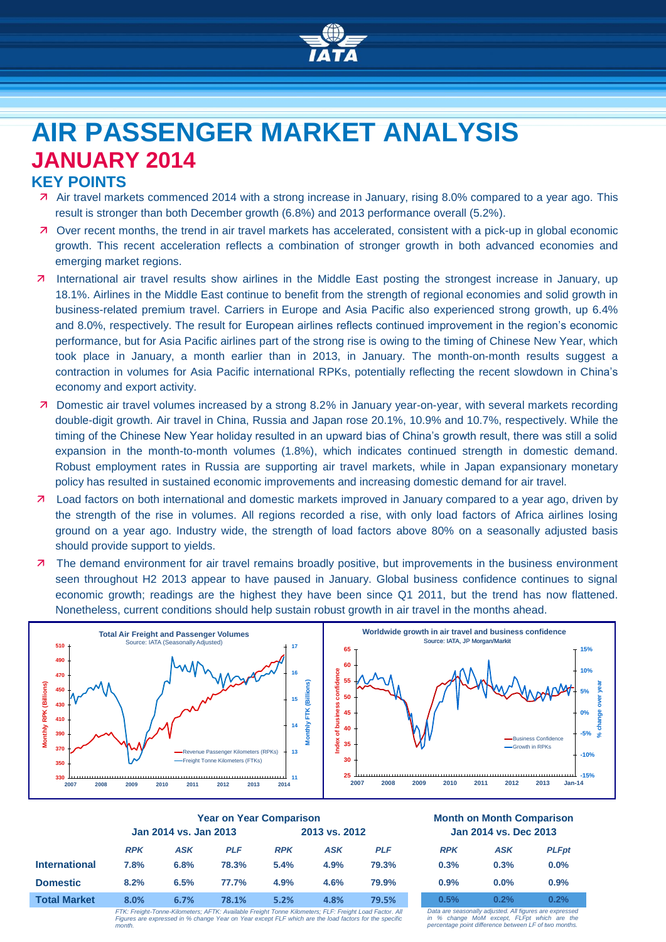

# **AIR PASSENGER MARKET ANALYSIS JANUARY 2014**

# **KEY POINTS**

- Air travel markets commenced 2014 with a strong increase in January, rising 8.0% compared to a year ago. This result is stronger than both December growth (6.8%) and 2013 performance overall (5.2%).
- Over recent months, the trend in air travel markets has accelerated, consistent with a pick-up in global economic growth. This recent acceleration reflects a combination of stronger growth in both advanced economies and emerging market regions.
- International air travel results show airlines in the Middle East posting the strongest increase in January, up 18.1%. Airlines in the Middle East continue to benefit from the strength of regional economies and solid growth in business-related premium travel. Carriers in Europe and Asia Pacific also experienced strong growth, up 6.4% and 8.0%, respectively. The result for European airlines reflects continued improvement in the region's economic performance, but for Asia Pacific airlines part of the strong rise is owing to the timing of Chinese New Year, which took place in January, a month earlier than in 2013, in January. The month-on-month results suggest a contraction in volumes for Asia Pacific international RPKs, potentially reflecting the recent slowdown in China's economy and export activity.
- Domestic air travel volumes increased by a strong 8.2% in January year-on-year, with several markets recording double-digit growth. Air travel in China, Russia and Japan rose 20.1%, 10.9% and 10.7%, respectively. While the timing of the Chinese New Year holiday resulted in an upward bias of China's growth result, there was still a solid expansion in the month-to-month volumes (1.8%), which indicates continued strength in domestic demand. Robust employment rates in Russia are supporting air travel markets, while in Japan expansionary monetary policy has resulted in sustained economic improvements and increasing domestic demand for air travel.
- Load factors on both international and domestic markets improved in January compared to a year ago, driven by the strength of the rise in volumes. All regions recorded a rise, with only load factors of Africa airlines losing ground on a year ago. Industry wide, the strength of load factors above 80% on a seasonally adjusted basis should provide support to yields.
- **7** The demand environment for air travel remains broadly positive, but improvements in the business environment seen throughout H2 2013 appear to have paused in January. Global business confidence continues to signal economic growth; readings are the highest they have been since Q1 2011, but the trend has now flattened. Nonetheless, current conditions should help sustain robust growth in air travel in the months ahead.



|                      | <b>Year on Year Comparison</b>                                                                         |            |               |            |            | <b>Month on Month Comparisor</b> |                                                      |            |             |
|----------------------|--------------------------------------------------------------------------------------------------------|------------|---------------|------------|------------|----------------------------------|------------------------------------------------------|------------|-------------|
|                      | Jan 2014 vs. Jan 2013                                                                                  |            | 2013 vs. 2012 |            |            | Jan 2014 vs. Dec 2013            |                                                      |            |             |
|                      | <b>RPK</b>                                                                                             | <b>ASK</b> | <b>PLF</b>    | <b>RPK</b> | <b>ASK</b> | <b>PLF</b>                       | <b>RPK</b>                                           | <b>ASK</b> | <b>PLFp</b> |
| <b>International</b> | 7.8%                                                                                                   | 6.8%       | 78.3%         | 5.4%       | 4.9%       | 79.3%                            | 0.3%                                                 | 0.3%       | 0.0%        |
| <b>Domestic</b>      | 8.2%                                                                                                   | 6.5%       | 77.7%         | 4.9%       | 4.6%       | 79.9%                            | 0.9%                                                 | $0.0\%$    | 0.9%        |
| <b>Total Market</b>  | 8.0%                                                                                                   | 6.7%       | 78.1%         | 5.2%       | 4.8%       | 79.5%                            | 0.5%                                                 | 0.2%       | 0.2%        |
|                      | FTK: Freight-Tonne-Kilometers: AFTK: Available Freight Tonne Kilometers: FLF: Freight Load Factor, All |            |               |            |            |                                  | Data are seasonally adjusted. All figures are expres |            |             |

#### **Year on Year Comparison Month on Month Comparison Jan 2014 vs. Jan 2013 2013 vs. 2012 Jan 2014 vs. Dec 2013**

| <b>RPK</b> | ASK     | <b>PLFpt</b> |
|------------|---------|--------------|
| 0.3%       | 0.3%    | $0.0\%$      |
| 0.9%       | $0.0\%$ | 0.9%         |
| 0.5%       | 0.2%    | 0.2%         |

FTK: Freight-Tonne-Kilometers; AFTK: Available Freight Tonne Kilometers; FLF: Freight Load Factor. All<br>Figures are expressed in % change Year on Year except FLF which are the load factors for the specific<br>month.

*Data are seasonally adjusted. All figures are expressed in % change MoM except, FLFpt which are the percentage point difference between LF of two months.*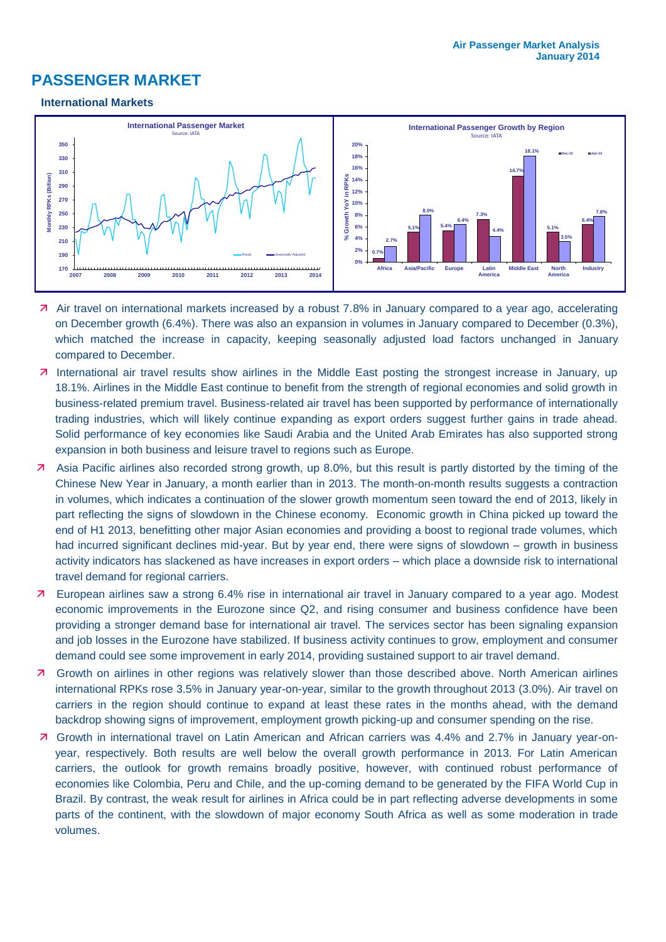# **PASSENGER MARKET**

#### **International Markets**



- Air travel on international markets increased by a robust 7.8% in January compared to a year ago, accelerating on December growth (6.4%). There was also an expansion in volumes in January compared to December (0.3%), which matched the increase in capacity, keeping seasonally adjusted load factors unchanged in January compared to December.
- 7 International air travel results show airlines in the Middle East posting the strongest increase in January, up 18.1%. Airlines in the Middle East continue to benefit from the strength of regional economies and solid growth in business-related premium travel. Business-related air travel has been supported by performance of internationally trading industries, which will likely continue expanding as export orders suggest further gains in trade ahead. Solid performance of key economies like Saudi Arabia and the United Arab Emirates has also supported strong expansion in both business and leisure travel to regions such as Europe.
- Asia Pacific airlines also recorded strong growth, up 8.0%, but this result is partly distorted by the timing of the Chinese New Year in January, a month earlier than in 2013. The month-on-month results suggests a contraction in volumes, which indicates a continuation of the slower growth momentum seen toward the end of 2013, likely in part reflecting the signs of slowdown in the Chinese economy. Economic growth in China picked up toward the end of H1 2013, benefitting other major Asian economies and providing a boost to regional trade volumes, which had incurred significant declines mid-year. But by year end, there were signs of slowdown – growth in business activity indicators has slackened as have increases in export orders – which place a downside risk to international travel demand for regional carriers.
- European airlines saw a strong 6.4% rise in international air travel in January compared to a year ago. Modest economic improvements in the Eurozone since Q2, and rising consumer and business confidence have been providing a stronger demand base for international air travel. The services sector has been signaling expansion and job losses in the Eurozone have stabilized. If business activity continues to grow, employment and consumer demand could see some improvement in early 2014, providing sustained support to air travel demand.
- Growth on airlines in other regions was relatively slower than those described above. North American airlines international RPKs rose 3.5% in January year-on-year, similar to the growth throughout 2013 (3.0%). Air travel on carriers in the region should continue to expand at least these rates in the months ahead, with the demand backdrop showing signs of improvement, employment growth picking-up and consumer spending on the rise.
- Growth in international travel on Latin American and African carriers was 4.4% and 2.7% in January year-onyear, respectively. Both results are well below the overall growth performance in 2013. For Latin American carriers, the outlook for growth remains broadly positive, however, with continued robust performance of economies like Colombia, Peru and Chile, and the up-coming demand to be generated by the FIFA World Cup in Brazil. By contrast, the weak result for airlines in Africa could be in part reflecting adverse developments in some parts of the continent, with the slowdown of major economy South Africa as well as some moderation in trade volumes.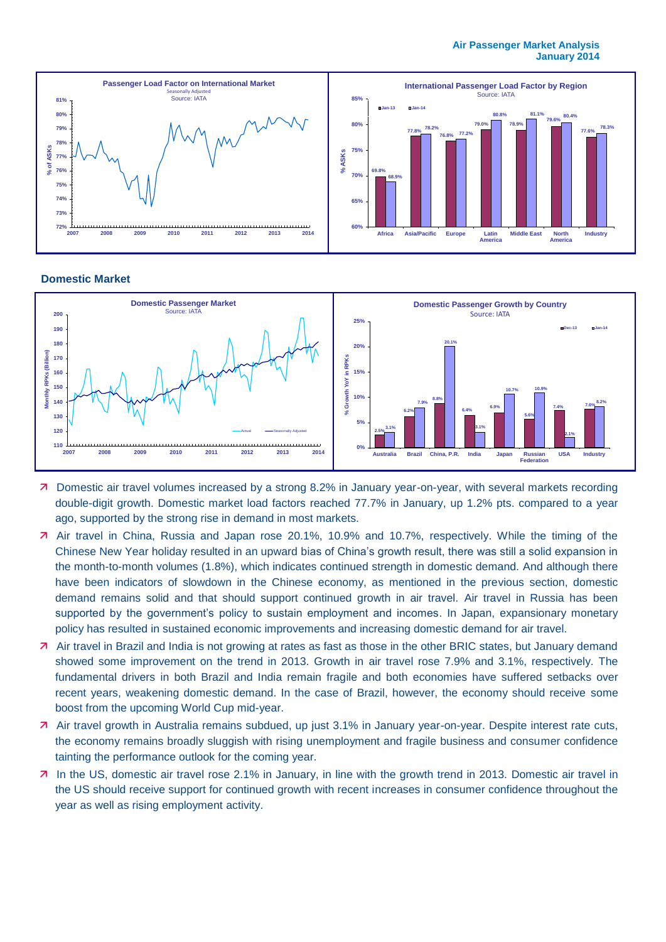#### **Air Passenger Market Analysis January 2014**



#### **Domestic Market**



- Domestic air travel volumes increased by a strong 8.2% in January year-on-year, with several markets recording double-digit growth. Domestic market load factors reached 77.7% in January, up 1.2% pts. compared to a year ago, supported by the strong rise in demand in most markets.
- Air travel in China, Russia and Japan rose 20.1%, 10.9% and 10.7%, respectively. While the timing of the Chinese New Year holiday resulted in an upward bias of China's growth result, there was still a solid expansion in the month-to-month volumes (1.8%), which indicates continued strength in domestic demand. And although there have been indicators of slowdown in the Chinese economy, as mentioned in the previous section, domestic demand remains solid and that should support continued growth in air travel. Air travel in Russia has been supported by the government's policy to sustain employment and incomes. In Japan, expansionary monetary policy has resulted in sustained economic improvements and increasing domestic demand for air travel.
- Air travel in Brazil and India is not growing at rates as fast as those in the other BRIC states, but January demand showed some improvement on the trend in 2013. Growth in air travel rose 7.9% and 3.1%, respectively. The fundamental drivers in both Brazil and India remain fragile and both economies have suffered setbacks over recent years, weakening domestic demand. In the case of Brazil, however, the economy should receive some boost from the upcoming World Cup mid-year.
- Air travel growth in Australia remains subdued, up just 3.1% in January year-on-year. Despite interest rate cuts, the economy remains broadly sluggish with rising unemployment and fragile business and consumer confidence tainting the performance outlook for the coming year.
- In the US, domestic air travel rose 2.1% in January, in line with the growth trend in 2013. Domestic air travel in the US should receive support for continued growth with recent increases in consumer confidence throughout the year as well as rising employment activity.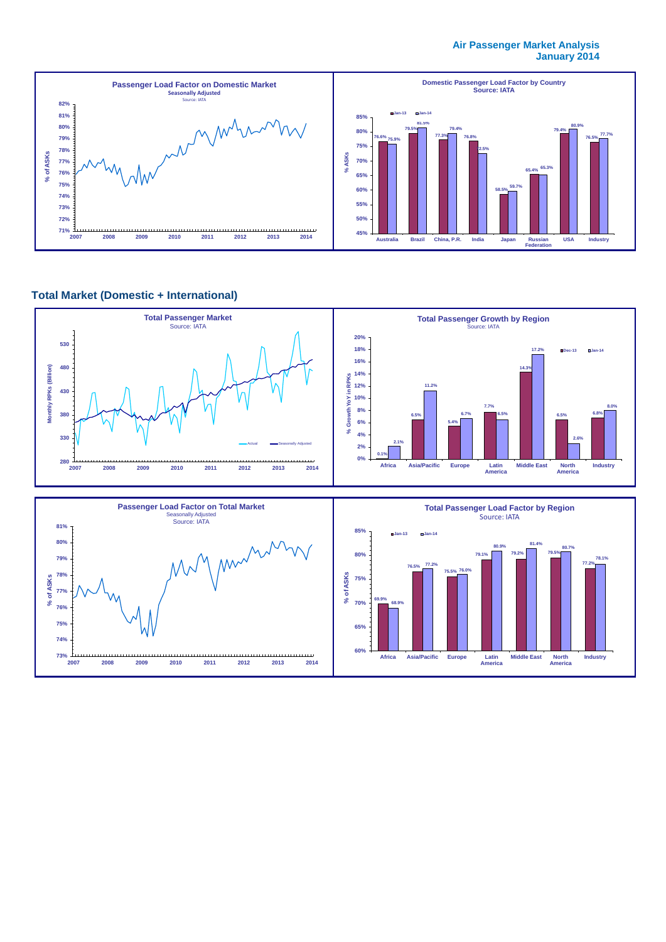#### **Air Passenger Market Analysis January 2014**



### **Total Market (Domestic + International)**

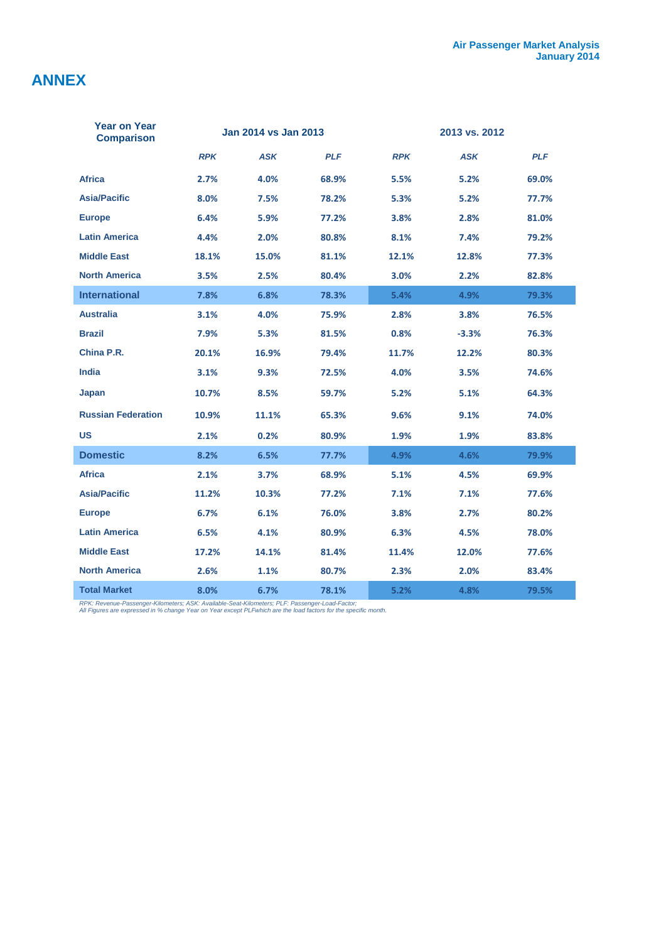# **ANNEX**

| <b>Year on Year</b><br><b>Comparison</b> | Jan 2014 vs Jan 2013 |            |            | 2013 vs. 2012 |            |            |  |
|------------------------------------------|----------------------|------------|------------|---------------|------------|------------|--|
|                                          | <b>RPK</b>           | <b>ASK</b> | <b>PLF</b> | <b>RPK</b>    | <b>ASK</b> | <b>PLF</b> |  |
| <b>Africa</b>                            | 2.7%                 | 4.0%       | 68.9%      | 5.5%          | 5.2%       | 69.0%      |  |
| <b>Asia/Pacific</b>                      | 8.0%                 | 7.5%       | 78.2%      | 5.3%          | 5.2%       | 77.7%      |  |
| <b>Europe</b>                            | 6.4%                 | 5.9%       | 77.2%      | 3.8%          | 2.8%       | 81.0%      |  |
| <b>Latin America</b>                     | 4.4%                 | 2.0%       | 80.8%      | 8.1%          | 7.4%       | 79.2%      |  |
| <b>Middle East</b>                       | 18.1%                | 15.0%      | 81.1%      | 12.1%         | 12.8%      | 77.3%      |  |
| <b>North America</b>                     | 3.5%                 | 2.5%       | 80.4%      | 3.0%          | 2.2%       | 82.8%      |  |
| <b>International</b>                     | 7.8%                 | 6.8%       | 78.3%      | 5.4%          | 4.9%       | 79.3%      |  |
| <b>Australia</b>                         | 3.1%                 | 4.0%       | 75.9%      | 2.8%          | 3.8%       | 76.5%      |  |
| <b>Brazil</b>                            | 7.9%                 | 5.3%       | 81.5%      | 0.8%          | $-3.3%$    | 76.3%      |  |
| China P.R.                               | 20.1%                | 16.9%      | 79.4%      | 11.7%         | 12.2%      | 80.3%      |  |
| <b>India</b>                             | 3.1%                 | 9.3%       | 72.5%      | 4.0%          | 3.5%       | 74.6%      |  |
| Japan                                    | 10.7%                | 8.5%       | 59.7%      | 5.2%          | 5.1%       | 64.3%      |  |
| <b>Russian Federation</b>                | 10.9%                | 11.1%      | 65.3%      | 9.6%          | 9.1%       | 74.0%      |  |
| <b>US</b>                                | 2.1%                 | 0.2%       | 80.9%      | 1.9%          | 1.9%       | 83.8%      |  |
| <b>Domestic</b>                          | 8.2%                 | 6.5%       | 77.7%      | 4.9%          | 4.6%       | 79.9%      |  |
| <b>Africa</b>                            | 2.1%                 | 3.7%       | 68.9%      | 5.1%          | 4.5%       | 69.9%      |  |
| <b>Asia/Pacific</b>                      | 11.2%                | 10.3%      | 77.2%      | 7.1%          | 7.1%       | 77.6%      |  |
| <b>Europe</b>                            | 6.7%                 | 6.1%       | 76.0%      | 3.8%          | 2.7%       | 80.2%      |  |
| <b>Latin America</b>                     | 6.5%                 | 4.1%       | 80.9%      | 6.3%          | 4.5%       | 78.0%      |  |
| <b>Middle East</b>                       | 17.2%                | 14.1%      | 81.4%      | 11.4%         | 12.0%      | 77.6%      |  |
| <b>North America</b>                     | 2.6%                 | 1.1%       | 80.7%      | 2.3%          | 2.0%       | 83.4%      |  |
| <b>Total Market</b>                      | 8.0%                 | 6.7%       | 78.1%      | 5.2%          | 4.8%       | 79.5%      |  |

*RPK: Revenue-Passenger-Kilometers; ASK: Available-Seat-Kilometers; PLF: Passenger-Load-Factor; All Figures are expressed in % change Year on Year except PLFwhich are the load factors for the specific month.*